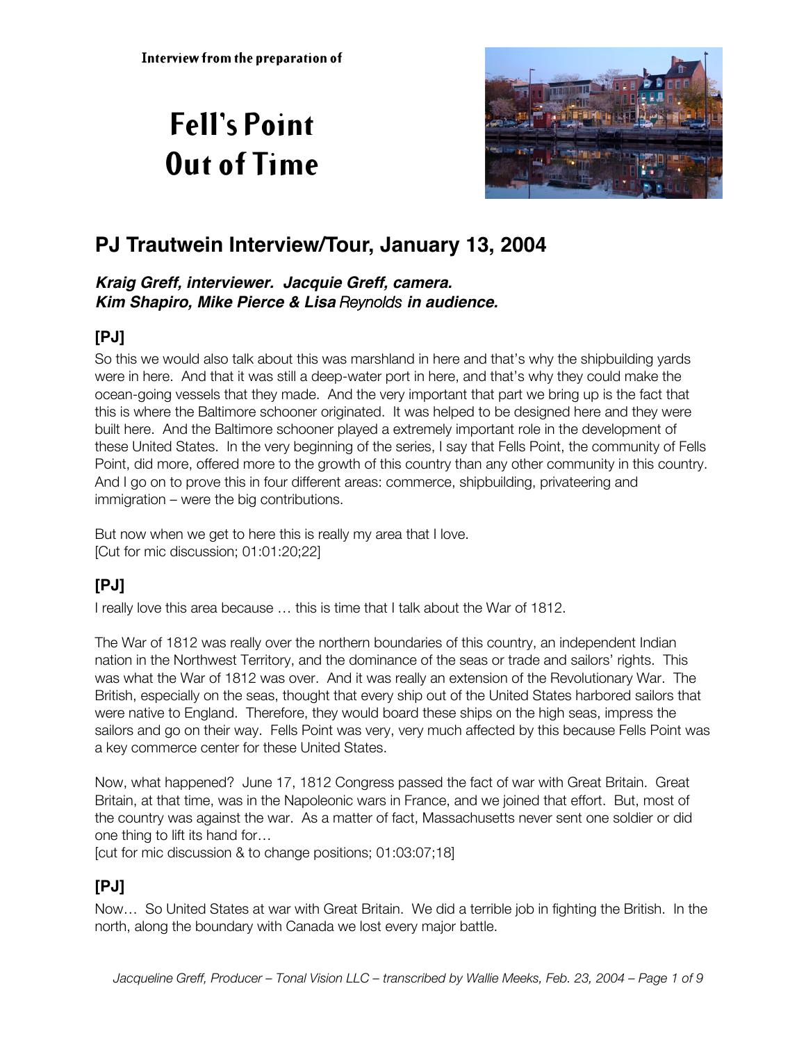# **Fell's Point Out of Time**



# **PJ Trautwein Interview/Tour, January 13, 2004**

#### **Kraig Greff, interviewer. Jacquie Greff, camera. Kim Shapiro, Mike Pierce & Lisa** *Reynolds* **in audience.**

# **[PJ]**

So this we would also talk about this was marshland in here and that's why the shipbuilding yards were in here. And that it was still a deep-water port in here, and that's why they could make the ocean-going vessels that they made. And the very important that part we bring up is the fact that this is where the Baltimore schooner originated. It was helped to be designed here and they were built here. And the Baltimore schooner played a extremely important role in the development of these United States. In the very beginning of the series, I say that Fells Point, the community of Fells Point, did more, offered more to the growth of this country than any other community in this country. And I go on to prove this in four different areas: commerce, shipbuilding, privateering and immigration – were the big contributions.

But now when we get to here this is really my area that I love. [Cut for mic discussion; 01:01:20;22]

# **[PJ]**

I really love this area because … this is time that I talk about the War of 1812.

The War of 1812 was really over the northern boundaries of this country, an independent Indian nation in the Northwest Territory, and the dominance of the seas or trade and sailors' rights. This was what the War of 1812 was over. And it was really an extension of the Revolutionary War. The British, especially on the seas, thought that every ship out of the United States harbored sailors that were native to England. Therefore, they would board these ships on the high seas, impress the sailors and go on their way. Fells Point was very, very much affected by this because Fells Point was a key commerce center for these United States.

Now, what happened? June 17, 1812 Congress passed the fact of war with Great Britain. Great Britain, at that time, was in the Napoleonic wars in France, and we joined that effort. But, most of the country was against the war. As a matter of fact, Massachusetts never sent one soldier or did one thing to lift its hand for…

[cut for mic discussion & to change positions; 01:03:07;18]

# **[PJ]**

Now… So United States at war with Great Britain. We did a terrible job in fighting the British. In the north, along the boundary with Canada we lost every major battle.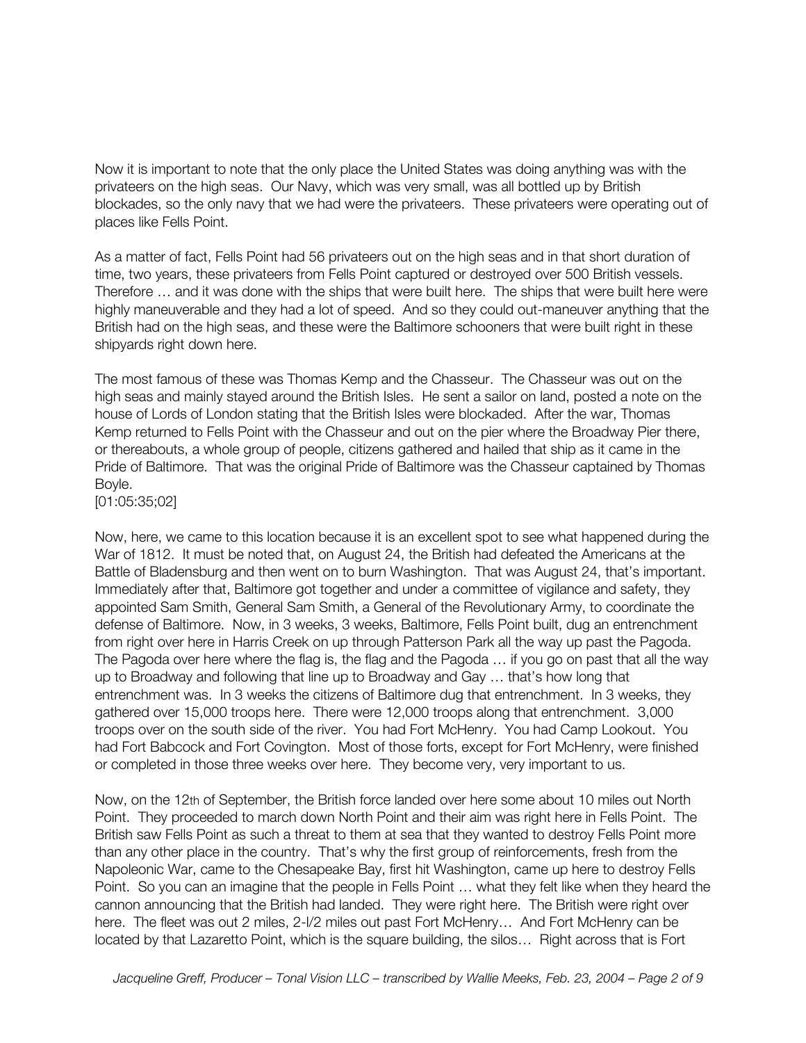Now it is important to note that the only place the United States was doing anything was with the privateers on the high seas. Our Navy, which was very small, was all bottled up by British blockades, so the only navy that we had were the privateers. These privateers were operating out of places like Fells Point.

As a matter of fact, Fells Point had 56 privateers out on the high seas and in that short duration of time, two years, these privateers from Fells Point captured or destroyed over 500 British vessels. Therefore … and it was done with the ships that were built here. The ships that were built here were highly maneuverable and they had a lot of speed. And so they could out-maneuver anything that the British had on the high seas, and these were the Baltimore schooners that were built right in these shipyards right down here.

The most famous of these was Thomas Kemp and the Chasseur. The Chasseur was out on the high seas and mainly stayed around the British Isles. He sent a sailor on land, posted a note on the house of Lords of London stating that the British Isles were blockaded. After the war, Thomas Kemp returned to Fells Point with the Chasseur and out on the pier where the Broadway Pier there, or thereabouts, a whole group of people, citizens gathered and hailed that ship as it came in the Pride of Baltimore. That was the original Pride of Baltimore was the Chasseur captained by Thomas Boyle.

[01:05:35;02]

Now, here, we came to this location because it is an excellent spot to see what happened during the War of 1812. It must be noted that, on August 24, the British had defeated the Americans at the Battle of Bladensburg and then went on to burn Washington. That was August 24, that's important. Immediately after that, Baltimore got together and under a committee of vigilance and safety, they appointed Sam Smith, General Sam Smith, a General of the Revolutionary Army, to coordinate the defense of Baltimore. Now, in 3 weeks, 3 weeks, Baltimore, Fells Point built, dug an entrenchment from right over here in Harris Creek on up through Patterson Park all the way up past the Pagoda. The Pagoda over here where the flag is, the flag and the Pagoda … if you go on past that all the way up to Broadway and following that line up to Broadway and Gay … that's how long that entrenchment was. In 3 weeks the citizens of Baltimore dug that entrenchment. In 3 weeks, they gathered over 15,000 troops here. There were 12,000 troops along that entrenchment. 3,000 troops over on the south side of the river. You had Fort McHenry. You had Camp Lookout. You had Fort Babcock and Fort Covington. Most of those forts, except for Fort McHenry, were finished or completed in those three weeks over here. They become very, very important to us.

Now, on the 12th of September, the British force landed over here some about 10 miles out North Point. They proceeded to march down North Point and their aim was right here in Fells Point. The British saw Fells Point as such a threat to them at sea that they wanted to destroy Fells Point more than any other place in the country. That's why the first group of reinforcements, fresh from the Napoleonic War, came to the Chesapeake Bay, first hit Washington, came up here to destroy Fells Point. So you can an imagine that the people in Fells Point … what they felt like when they heard the cannon announcing that the British had landed. They were right here. The British were right over here. The fleet was out 2 miles, 2-I/2 miles out past Fort McHenry... And Fort McHenry can be located by that Lazaretto Point, which is the square building, the silos… Right across that is Fort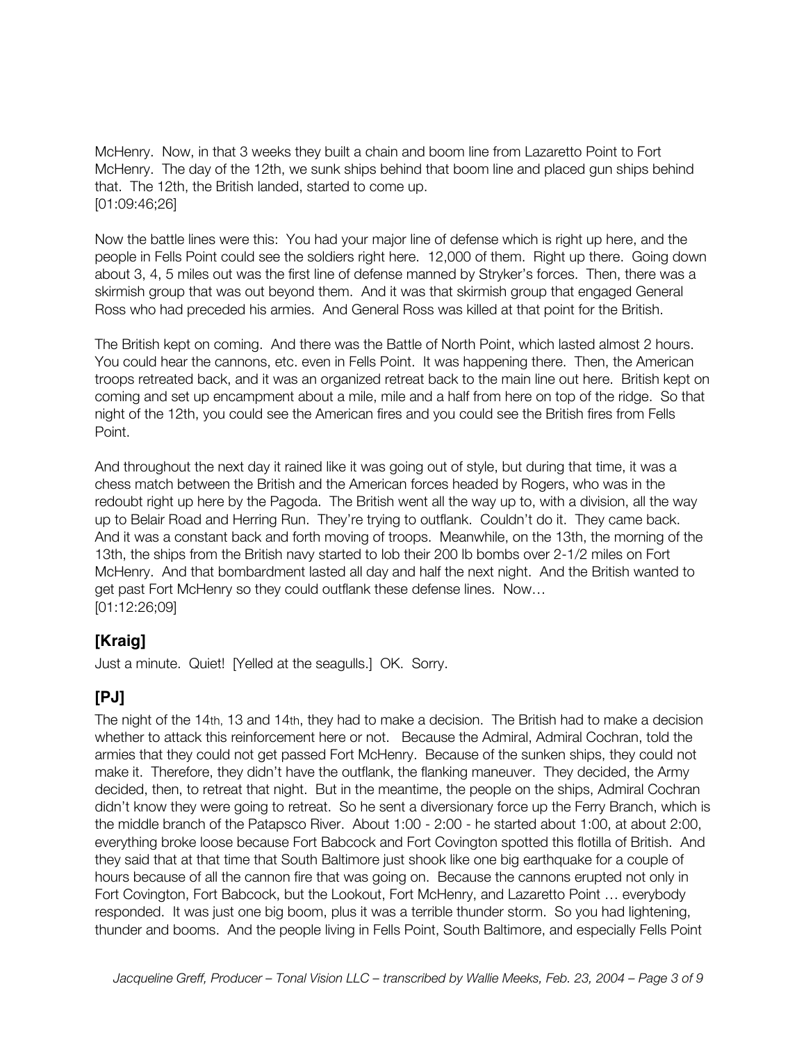McHenry. Now, in that 3 weeks they built a chain and boom line from Lazaretto Point to Fort McHenry. The day of the 12th, we sunk ships behind that boom line and placed gun ships behind that. The 12th, the British landed, started to come up. [01:09:46;26]

Now the battle lines were this: You had your major line of defense which is right up here, and the people in Fells Point could see the soldiers right here. 12,000 of them. Right up there. Going down about 3, 4, 5 miles out was the first line of defense manned by Stryker's forces. Then, there was a skirmish group that was out beyond them. And it was that skirmish group that engaged General Ross who had preceded his armies. And General Ross was killed at that point for the British.

The British kept on coming. And there was the Battle of North Point, which lasted almost 2 hours. You could hear the cannons, etc. even in Fells Point. It was happening there. Then, the American troops retreated back, and it was an organized retreat back to the main line out here. British kept on coming and set up encampment about a mile, mile and a half from here on top of the ridge. So that night of the 12th, you could see the American fires and you could see the British fires from Fells Point.

And throughout the next day it rained like it was going out of style, but during that time, it was a chess match between the British and the American forces headed by Rogers, who was in the redoubt right up here by the Pagoda. The British went all the way up to, with a division, all the way up to Belair Road and Herring Run. They're trying to outflank. Couldn't do it. They came back. And it was a constant back and forth moving of troops. Meanwhile, on the 13th, the morning of the 13th, the ships from the British navy started to lob their 200 lb bombs over 2-1/2 miles on Fort McHenry. And that bombardment lasted all day and half the next night. And the British wanted to get past Fort McHenry so they could outflank these defense lines. Now… [01:12:26;09]

#### **[Kraig]**

Just a minute. Quiet! [Yelled at the seagulls.] OK. Sorry.

# **[PJ]**

The night of the 14th, 13 and 14th, they had to make a decision. The British had to make a decision whether to attack this reinforcement here or not. Because the Admiral, Admiral Cochran, told the armies that they could not get passed Fort McHenry. Because of the sunken ships, they could not make it. Therefore, they didn't have the outflank, the flanking maneuver. They decided, the Army decided, then, to retreat that night. But in the meantime, the people on the ships, Admiral Cochran didn't know they were going to retreat. So he sent a diversionary force up the Ferry Branch, which is the middle branch of the Patapsco River. About 1:00 - 2:00 - he started about 1:00, at about 2:00, everything broke loose because Fort Babcock and Fort Covington spotted this flotilla of British. And they said that at that time that South Baltimore just shook like one big earthquake for a couple of hours because of all the cannon fire that was going on. Because the cannons erupted not only in Fort Covington, Fort Babcock, but the Lookout, Fort McHenry, and Lazaretto Point … everybody responded. It was just one big boom, plus it was a terrible thunder storm. So you had lightening, thunder and booms. And the people living in Fells Point, South Baltimore, and especially Fells Point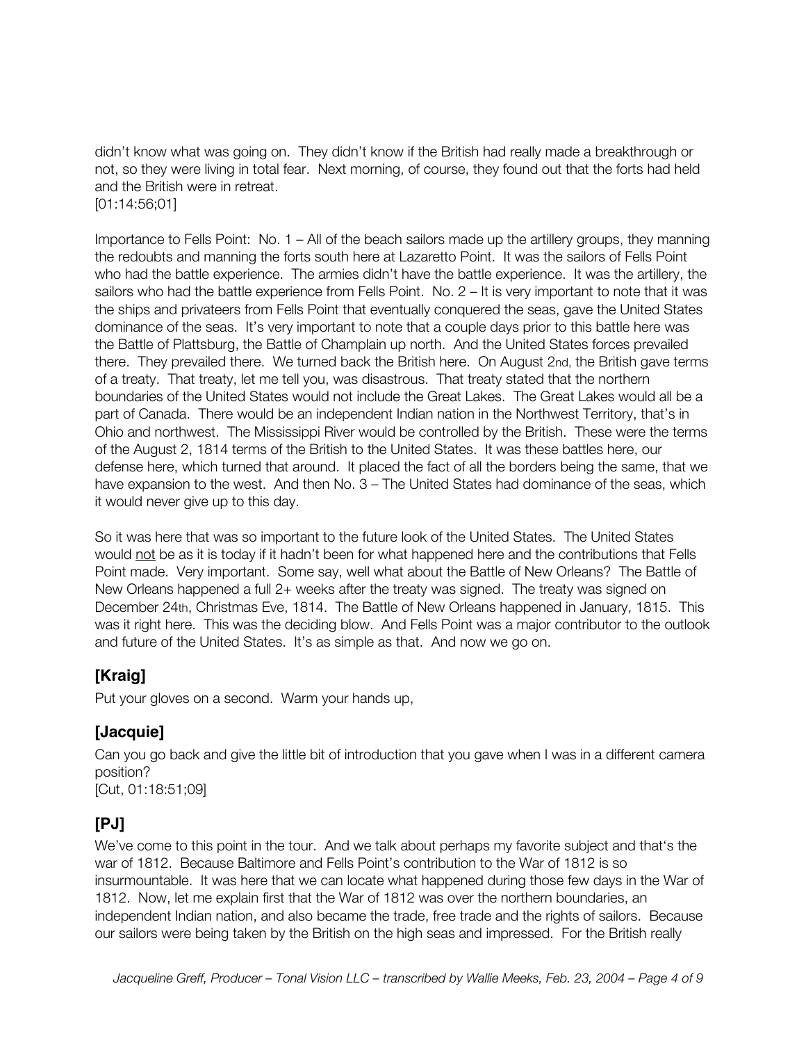didn't know what was going on. They didn't know if the British had really made a breakthrough or not, so they were living in total fear. Next morning, of course, they found out that the forts had held and the British were in retreat.

[01:14:56;01]

Importance to Fells Point: No. 1 – All of the beach sailors made up the artillery groups, they manning the redoubts and manning the forts south here at Lazaretto Point. It was the sailors of Fells Point who had the battle experience. The armies didn't have the battle experience. It was the artillery, the sailors who had the battle experience from Fells Point. No. 2 – It is very important to note that it was the ships and privateers from Fells Point that eventually conquered the seas, gave the United States dominance of the seas. It's very important to note that a couple days prior to this battle here was the Battle of Plattsburg, the Battle of Champlain up north. And the United States forces prevailed there. They prevailed there. We turned back the British here. On August 2nd, the British gave terms of a treaty. That treaty, let me tell you, was disastrous. That treaty stated that the northern boundaries of the United States would not include the Great Lakes. The Great Lakes would all be a part of Canada. There would be an independent Indian nation in the Northwest Territory, that's in Ohio and northwest. The Mississippi River would be controlled by the British. These were the terms of the August 2, 1814 terms of the British to the United States. It was these battles here, our defense here, which turned that around. It placed the fact of all the borders being the same, that we have expansion to the west. And then No. 3 – The United States had dominance of the seas, which it would never give up to this day.

So it was here that was so important to the future look of the United States. The United States would not be as it is today if it hadn't been for what happened here and the contributions that Fells Point made. Very important. Some say, well what about the Battle of New Orleans? The Battle of New Orleans happened a full 2+ weeks after the treaty was signed. The treaty was signed on December 24th, Christmas Eve, 1814. The Battle of New Orleans happened in January, 1815. This was it right here. This was the deciding blow. And Fells Point was a major contributor to the outlook and future of the United States. It's as simple as that. And now we go on.

#### **[Kraig]**

Put your gloves on a second. Warm your hands up,

#### **[Jacquie]**

Can you go back and give the little bit of introduction that you gave when I was in a different camera position?

[Cut, 01:18:51;09]

#### **[PJ]**

We've come to this point in the tour. And we talk about perhaps my favorite subject and that's the war of 1812. Because Baltimore and Fells Point's contribution to the War of 1812 is so insurmountable. It was here that we can locate what happened during those few days in the War of 1812. Now, let me explain first that the War of 1812 was over the northern boundaries, an independent Indian nation, and also became the trade, free trade and the rights of sailors. Because our sailors were being taken by the British on the high seas and impressed. For the British really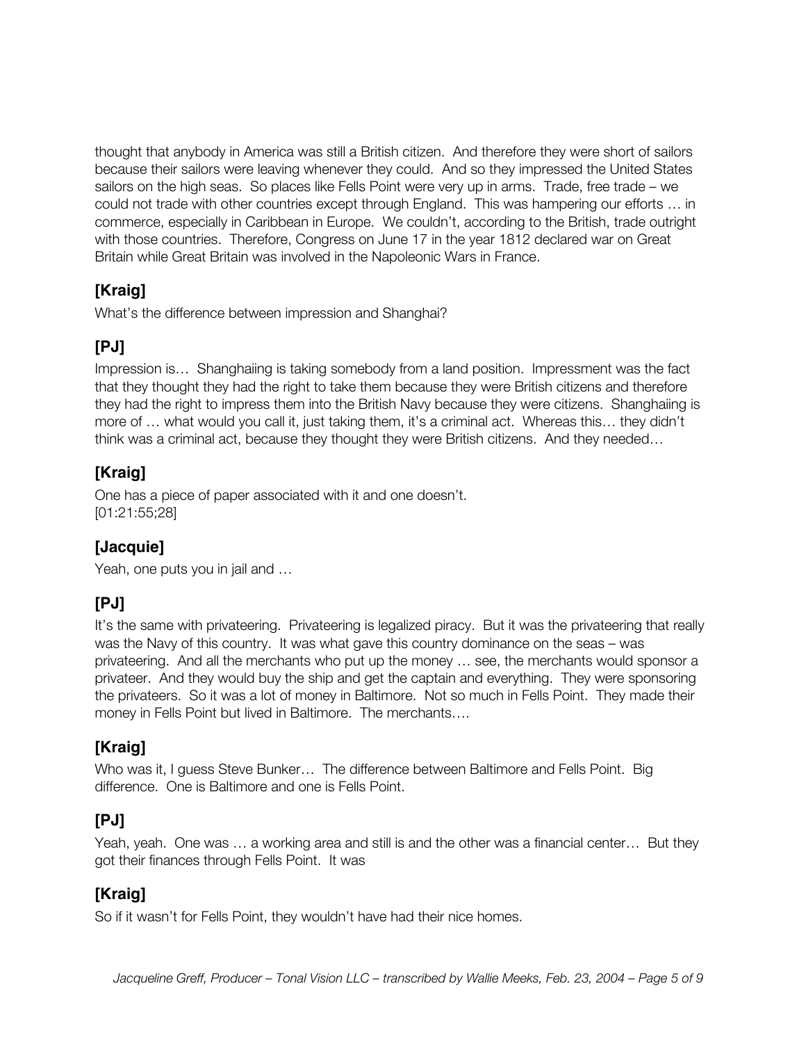thought that anybody in America was still a British citizen. And therefore they were short of sailors because their sailors were leaving whenever they could. And so they impressed the United States sailors on the high seas. So places like Fells Point were very up in arms. Trade, free trade – we could not trade with other countries except through England. This was hampering our efforts … in commerce, especially in Caribbean in Europe. We couldn't, according to the British, trade outright with those countries. Therefore, Congress on June 17 in the year 1812 declared war on Great Britain while Great Britain was involved in the Napoleonic Wars in France.

# **[Kraig]**

What's the difference between impression and Shanghai?

# **[PJ]**

Impression is… Shanghaiing is taking somebody from a land position. Impressment was the fact that they thought they had the right to take them because they were British citizens and therefore they had the right to impress them into the British Navy because they were citizens. Shanghaiing is more of … what would you call it, just taking them, it's a criminal act. Whereas this… they didn't think was a criminal act, because they thought they were British citizens. And they needed…

# **[Kraig]**

One has a piece of paper associated with it and one doesn't. [01:21:55;28]

#### **[Jacquie]**

Yeah, one puts you in jail and …

# **[PJ]**

It's the same with privateering. Privateering is legalized piracy. But it was the privateering that really was the Navy of this country. It was what gave this country dominance on the seas – was privateering. And all the merchants who put up the money … see, the merchants would sponsor a privateer. And they would buy the ship and get the captain and everything. They were sponsoring the privateers. So it was a lot of money in Baltimore. Not so much in Fells Point. They made their money in Fells Point but lived in Baltimore. The merchants….

#### **[Kraig]**

Who was it, I guess Steve Bunker… The difference between Baltimore and Fells Point. Big difference. One is Baltimore and one is Fells Point.

#### **[PJ]**

Yeah, yeah. One was … a working area and still is and the other was a financial center… But they got their finances through Fells Point. It was

#### **[Kraig]**

So if it wasn't for Fells Point, they wouldn't have had their nice homes.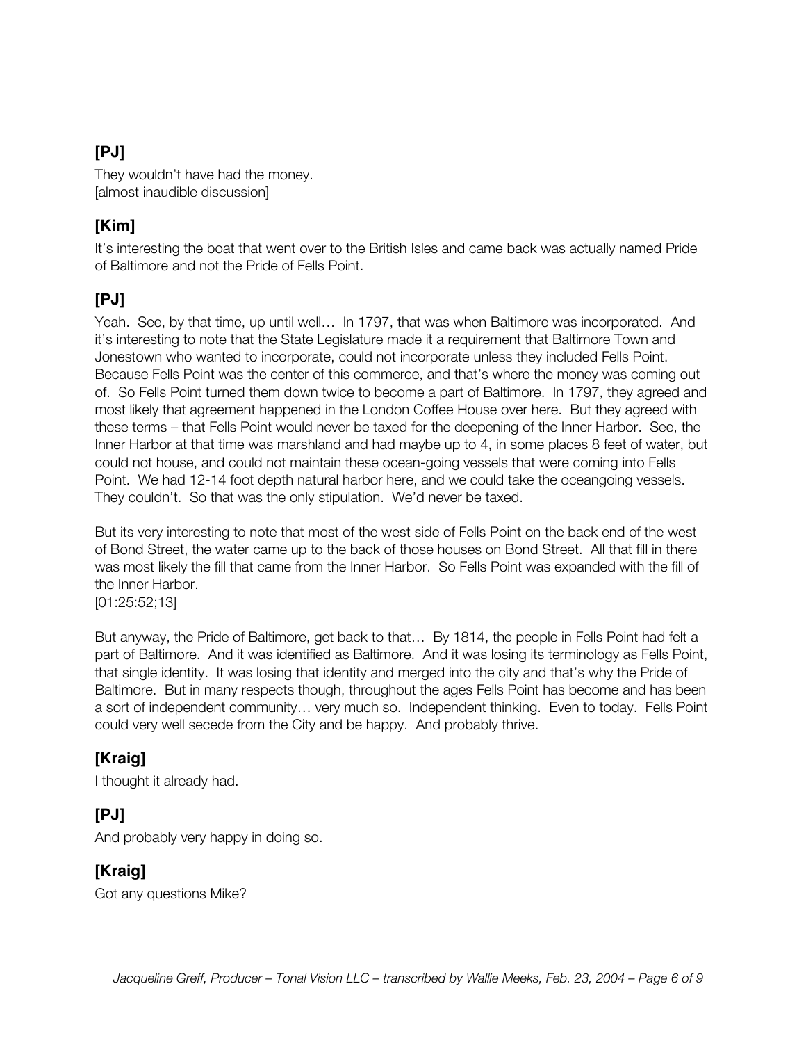#### **[PJ]**

They wouldn't have had the money. [almost inaudible discussion]

#### **[Kim]**

It's interesting the boat that went over to the British Isles and came back was actually named Pride of Baltimore and not the Pride of Fells Point.

#### **[PJ]**

Yeah. See, by that time, up until well… In 1797, that was when Baltimore was incorporated. And it's interesting to note that the State Legislature made it a requirement that Baltimore Town and Jonestown who wanted to incorporate, could not incorporate unless they included Fells Point. Because Fells Point was the center of this commerce, and that's where the money was coming out of. So Fells Point turned them down twice to become a part of Baltimore. In 1797, they agreed and most likely that agreement happened in the London Coffee House over here. But they agreed with these terms – that Fells Point would never be taxed for the deepening of the Inner Harbor. See, the Inner Harbor at that time was marshland and had maybe up to 4, in some places 8 feet of water, but could not house, and could not maintain these ocean-going vessels that were coming into Fells Point. We had 12-14 foot depth natural harbor here, and we could take the oceangoing vessels. They couldn't. So that was the only stipulation. We'd never be taxed.

But its very interesting to note that most of the west side of Fells Point on the back end of the west of Bond Street, the water came up to the back of those houses on Bond Street. All that fill in there was most likely the fill that came from the Inner Harbor. So Fells Point was expanded with the fill of the Inner Harbor.

[01:25:52;13]

But anyway, the Pride of Baltimore, get back to that… By 1814, the people in Fells Point had felt a part of Baltimore. And it was identified as Baltimore. And it was losing its terminology as Fells Point, that single identity. It was losing that identity and merged into the city and that's why the Pride of Baltimore. But in many respects though, throughout the ages Fells Point has become and has been a sort of independent community… very much so. Independent thinking. Even to today. Fells Point could very well secede from the City and be happy. And probably thrive.

#### **[Kraig]**

I thought it already had.

#### **[PJ]**

And probably very happy in doing so.

#### **[Kraig]**

Got any questions Mike?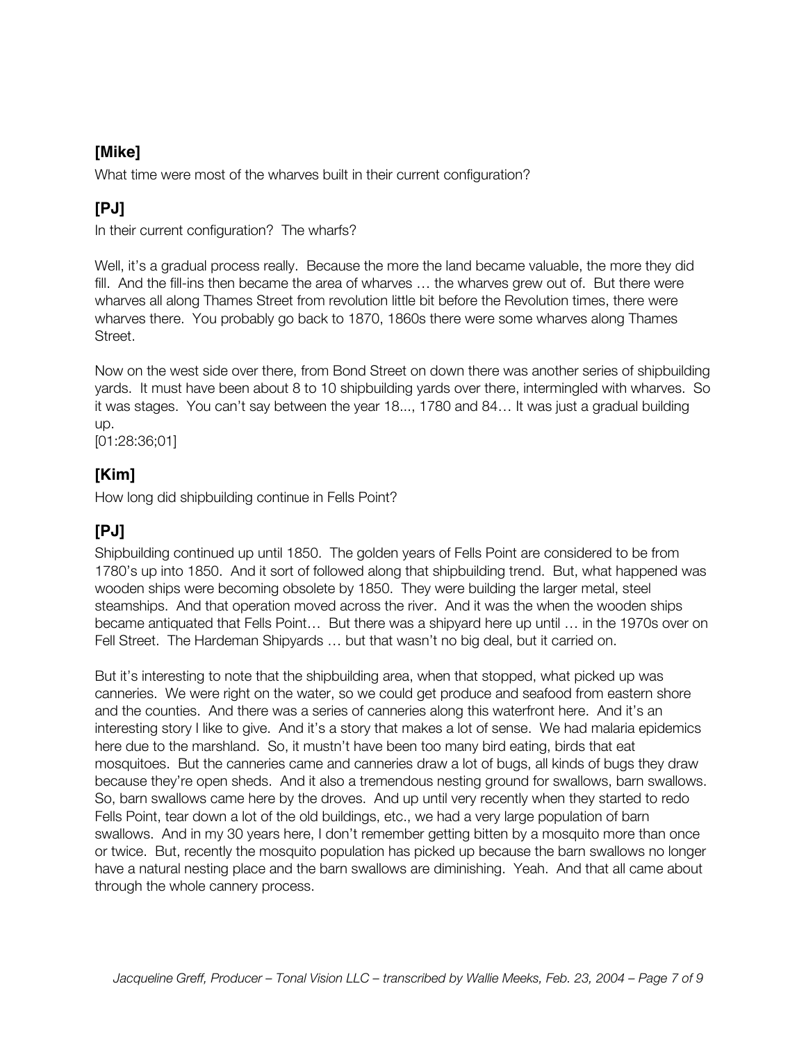#### **[Mike]**

What time were most of the wharves built in their current configuration?

# **[PJ]**

In their current configuration? The wharfs?

Well, it's a gradual process really. Because the more the land became valuable, the more they did fill. And the fill-ins then became the area of wharves … the wharves grew out of. But there were wharves all along Thames Street from revolution little bit before the Revolution times, there were wharves there. You probably go back to 1870, 1860s there were some wharves along Thames Street.

Now on the west side over there, from Bond Street on down there was another series of shipbuilding yards. It must have been about 8 to 10 shipbuilding yards over there, intermingled with wharves. So it was stages. You can't say between the year 18..., 1780 and 84… It was just a gradual building up.

[01:28:36;01]

#### **[Kim]**

How long did shipbuilding continue in Fells Point?

### **[PJ]**

Shipbuilding continued up until 1850. The golden years of Fells Point are considered to be from 1780's up into 1850. And it sort of followed along that shipbuilding trend. But, what happened was wooden ships were becoming obsolete by 1850. They were building the larger metal, steel steamships. And that operation moved across the river. And it was the when the wooden ships became antiquated that Fells Point… But there was a shipyard here up until … in the 1970s over on Fell Street. The Hardeman Shipyards … but that wasn't no big deal, but it carried on.

But it's interesting to note that the shipbuilding area, when that stopped, what picked up was canneries. We were right on the water, so we could get produce and seafood from eastern shore and the counties. And there was a series of canneries along this waterfront here. And it's an interesting story I like to give. And it's a story that makes a lot of sense. We had malaria epidemics here due to the marshland. So, it mustn't have been too many bird eating, birds that eat mosquitoes. But the canneries came and canneries draw a lot of bugs, all kinds of bugs they draw because they're open sheds. And it also a tremendous nesting ground for swallows, barn swallows. So, barn swallows came here by the droves. And up until very recently when they started to redo Fells Point, tear down a lot of the old buildings, etc., we had a very large population of barn swallows. And in my 30 years here, I don't remember getting bitten by a mosquito more than once or twice. But, recently the mosquito population has picked up because the barn swallows no longer have a natural nesting place and the barn swallows are diminishing. Yeah. And that all came about through the whole cannery process.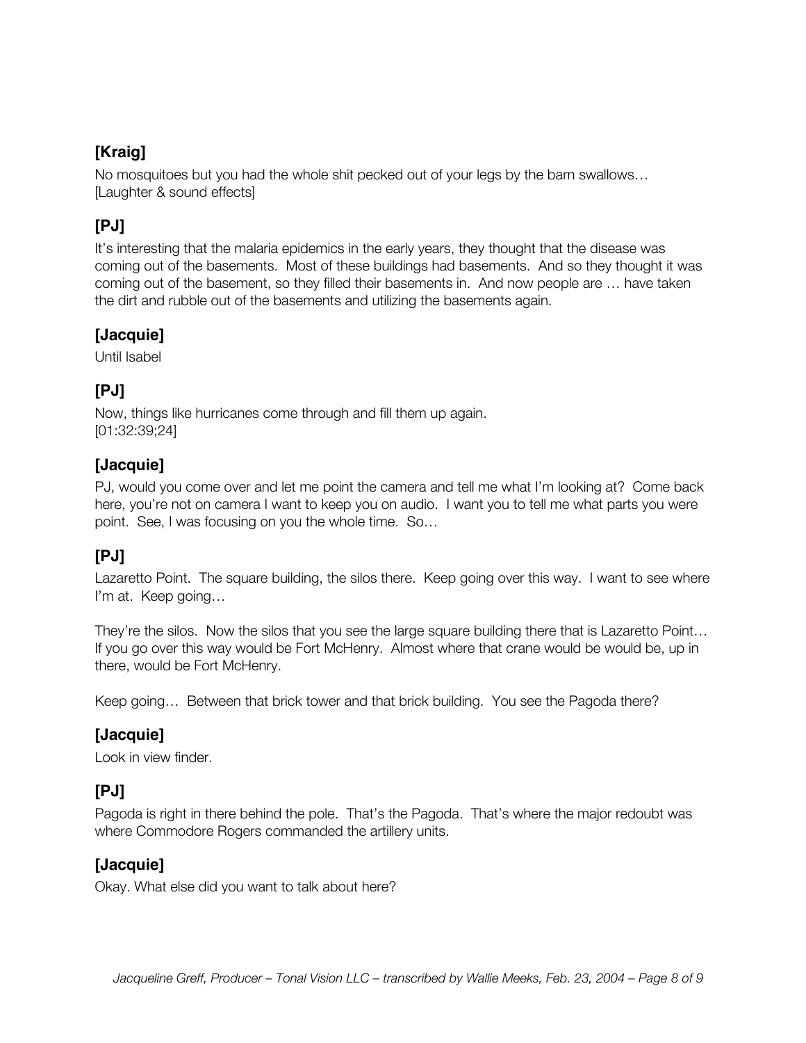# **[Kraig]**

No mosquitoes but you had the whole shit pecked out of your legs by the barn swallows… [Laughter & sound effects]

# **[PJ]**

It's interesting that the malaria epidemics in the early years, they thought that the disease was coming out of the basements. Most of these buildings had basements. And so they thought it was coming out of the basement, so they filled their basements in. And now people are … have taken the dirt and rubble out of the basements and utilizing the basements again.

#### **[Jacquie]**

Until Isabel

# **[PJ]**

Now, things like hurricanes come through and fill them up again. [01:32:39;24]

#### **[Jacquie]**

PJ, would you come over and let me point the camera and tell me what I'm looking at? Come back here, you're not on camera I want to keep you on audio. I want you to tell me what parts you were point. See, I was focusing on you the whole time. So…

#### **[PJ]**

Lazaretto Point. The square building, the silos there. Keep going over this way. I want to see where I'm at. Keep going…

They're the silos. Now the silos that you see the large square building there that is Lazaretto Point… If you go over this way would be Fort McHenry. Almost where that crane would be would be, up in there, would be Fort McHenry.

Keep going… Between that brick tower and that brick building. You see the Pagoda there?

#### **[Jacquie]**

Look in view finder.

# **[PJ]**

Pagoda is right in there behind the pole. That's the Pagoda. That's where the major redoubt was where Commodore Rogers commanded the artillery units.

#### **[Jacquie]**

Okay. What else did you want to talk about here?